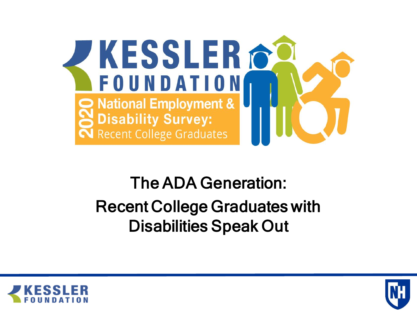

#### The ADA Generation: Recent College Graduates with Disabilities Speak Out



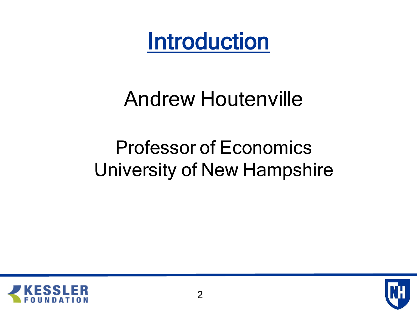Introduction

# Andrew Houtenville

### Professor of Economics University of New Hampshire



![](_page_1_Picture_4.jpeg)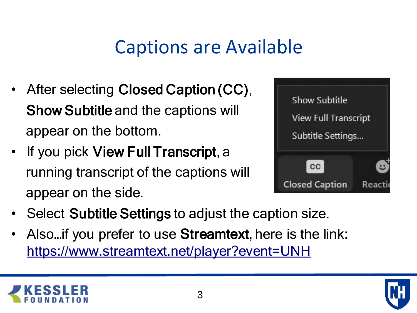### Captions are Available

- After selecting Closed Caption (CC), Show Subtitle and the captions will appear on the bottom.
- If you pick View Full Transcript, a running transcript of the captions will appear on the side.

![](_page_2_Picture_3.jpeg)

- Select Subtitle Settings to adjust the caption size.
- Also... if you prefer to use Streamtext, here is the link: <https://www.streamtext.net/player?event=UNH>

![](_page_2_Picture_6.jpeg)

![](_page_2_Picture_7.jpeg)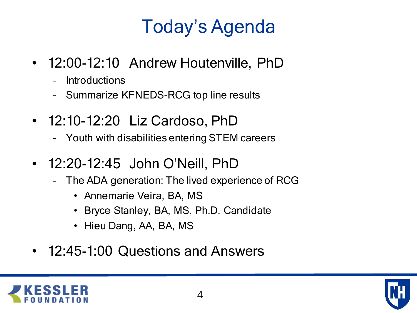# Today's Agenda

- 12:00-12:10 Andrew Houtenville, PhD
	- **Introductions**
	- Summarize KFNEDS-RCG top line results
- 12:10-12:20 Liz Cardoso, PhD
	- Youth with disabilities entering STEM careers
- 12:20-12:45 John O'Neill, PhD
	- The ADA generation: The lived experience of RCG
		- Annemarie Veira, BA, MS
		- Bryce Stanley, BA, MS, Ph.D. Candidate
		- Hieu Dang, AA, BA, MS
- 12:45-1:00 Questions and Answers

![](_page_3_Picture_12.jpeg)

![](_page_3_Picture_13.jpeg)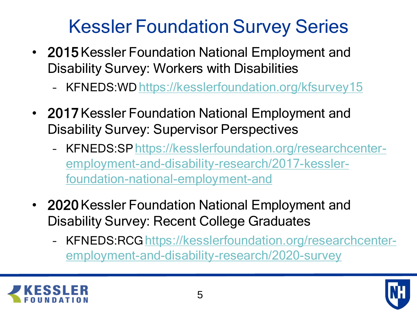### Kessler Foundation Survey Series

- 2015 Kessler Foundation National Employment and Disability Survey: Workers with Disabilities
	- KFNEDS:WD <https://kesslerfoundation.org/kfsurvey15>
- 2017 Kessler Foundation National Employment and Disability Survey: Supervisor Perspectives
	- KFNEDS:SPhttps://kesslerfoundation.org/researchcenter[employment-and-disability-research/2017-kessler](https://kesslerfoundation.org/researchcenter-employment-and-disability-research/2017-kessler-foundation-national-employment-and)foundation-national-employment-and
- 2020 Kessler Foundation National Employment and Disability Survey: Recent College Graduates
	- KFNEDS:RCG https://kesslerfoundation.org/researchcenter[employment-and-disability-research/2020-survey](https://kesslerfoundation.org/researchcenter-employment-and-disability-research/2020-survey)

![](_page_4_Picture_7.jpeg)

![](_page_4_Picture_8.jpeg)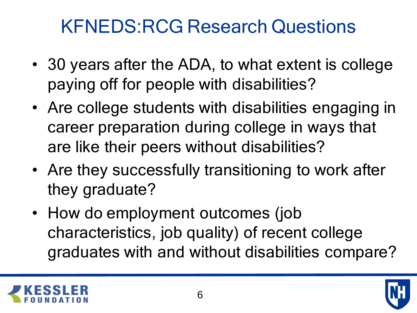### KFNEDS:RCG Research Questions

- 30 years after the ADA, to what extent is college paying off for people with disabilities?
- Are college students with disabilities engaging in career preparation during college in ways that are like their peers without disabilities?
- Are they successfully transitioning to work after they graduate?
- How do employment outcomes (job characteristics, job quality) of recent college graduates with and without disabilities compare?

![](_page_5_Picture_5.jpeg)

![](_page_5_Picture_6.jpeg)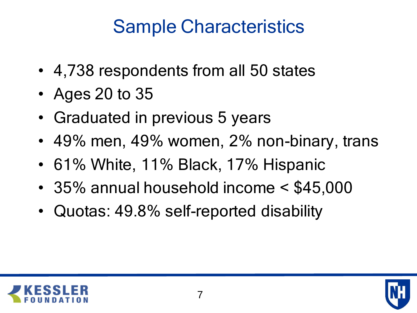## Sample Characteristics

- 4,738 respondents from all 50 states
- Ages 20 to 35
- Graduated in previous 5 years
- 49% men, 49% women, 2% non-binary, trans
- 61% White, 11% Black, 17% Hispanic
- 35% annual household income < \$45,000
- Quotas: 49.8% self-reported disability

![](_page_6_Picture_8.jpeg)

![](_page_6_Picture_9.jpeg)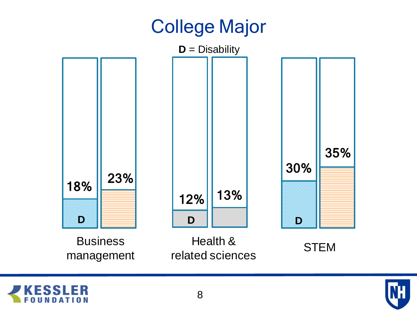### College Major

![](_page_7_Figure_1.jpeg)

![](_page_7_Picture_2.jpeg)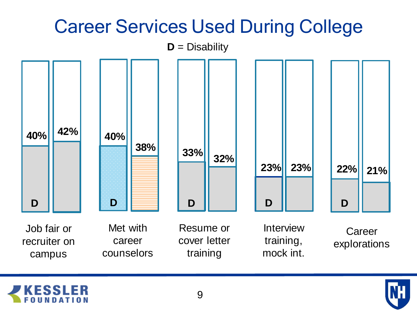![](_page_8_Figure_0.jpeg)

![](_page_8_Picture_1.jpeg)

![](_page_8_Picture_3.jpeg)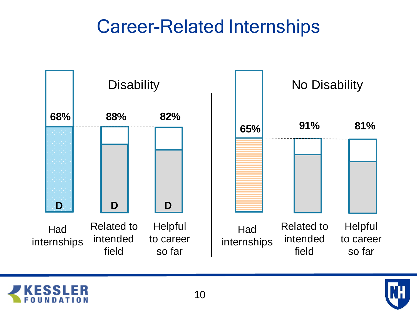#### Career-Related Internships

![](_page_9_Figure_1.jpeg)

![](_page_9_Picture_2.jpeg)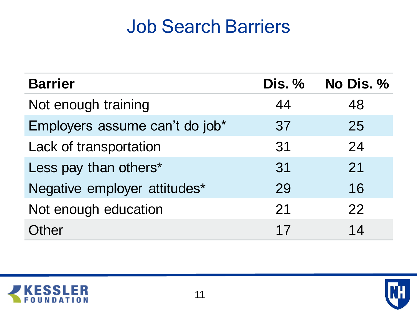### Job Search Barriers

| <b>Barrier</b>                 | Dis. % | No Dis. % |
|--------------------------------|--------|-----------|
| Not enough training            | 44     | 48        |
| Employers assume can't do job* | 37     | 25        |
| Lack of transportation         | 31     | 24        |
| Less pay than others*          | 31     | 21        |
| Negative employer attitudes*   | 29     | 16        |
| Not enough education           | 21     | 22        |
| <b>Other</b>                   | 17     | 14        |

![](_page_10_Picture_2.jpeg)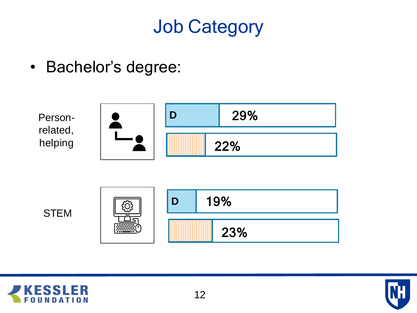### Job Category

• Bachelor's degree:

![](_page_11_Figure_2.jpeg)

![](_page_11_Picture_3.jpeg)

![](_page_11_Picture_5.jpeg)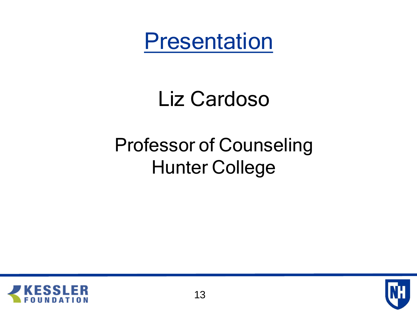Presentation

# Liz Cardoso

# Professor of Counseling Hunter College

![](_page_12_Picture_3.jpeg)

![](_page_12_Picture_4.jpeg)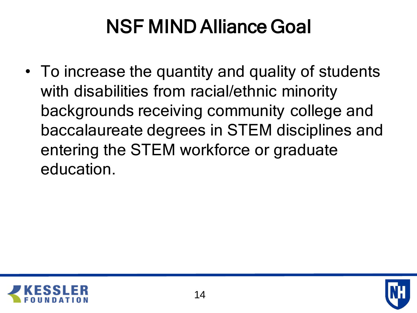# NSF MIND Alliance Goal

• To increase the quantity and quality of students with disabilities from racial/ethnic minority backgrounds receiving community college and baccalaureate degrees in STEM disciplines and entering the STEM workforce or graduate education.

![](_page_13_Picture_2.jpeg)

![](_page_13_Picture_3.jpeg)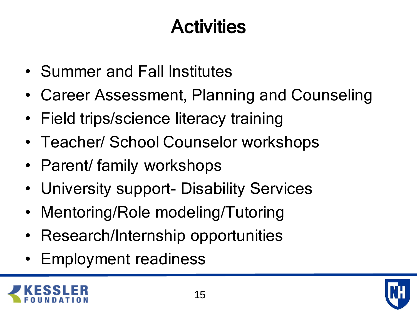# **Activities**

- Summer and Fall Institutes
- Career Assessment, Planning and Counseling
- Field trips/science literacy training
- Teacher/ School Counselor workshops
- Parent/ family workshops
- University support- Disability Services
- Mentoring/Role modeling/Tutoring
- Research/Internship opportunities
- Employment readiness

![](_page_14_Picture_10.jpeg)

![](_page_14_Picture_11.jpeg)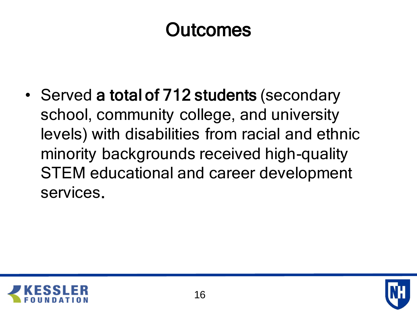### **Outcomes**

• Served a total of 712 students (secondary school, community college, and university levels) with disabilities from racial and ethnic minority backgrounds received high-quality STEM educational and career development services.

![](_page_15_Picture_2.jpeg)

![](_page_15_Picture_3.jpeg)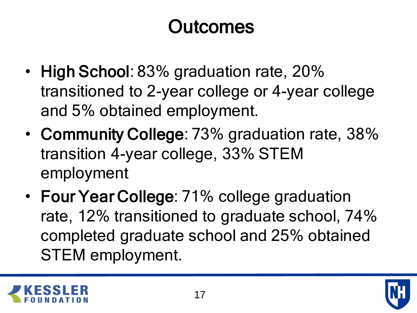# **Outcomes**

- High School: 83% graduation rate, 20% transitioned to 2-year college or 4-year college and 5% obtained employment.
- Community College: 73% graduation rate, 38% transition 4-year college, 33% STEM employment
- Four Year College: 71% college graduation rate, 12% transitioned to graduate school, 74% completed graduate school and 25% obtained STEM employment.

![](_page_16_Picture_4.jpeg)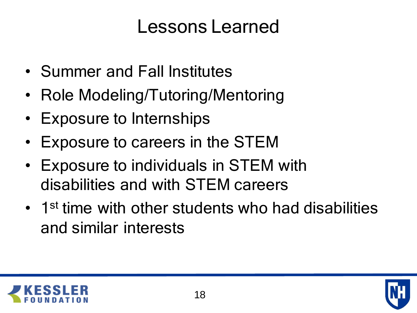#### Lessons Learned

- Summer and Fall Institutes
- Role Modeling/Tutoring/Mentoring
- Exposure to Internships
- Exposure to careers in the STEM
- Exposure to individuals in STEM with disabilities and with STEM careers
- 1<sup>st</sup> time with other students who had disabilities and similar interests

![](_page_17_Picture_7.jpeg)

![](_page_17_Picture_8.jpeg)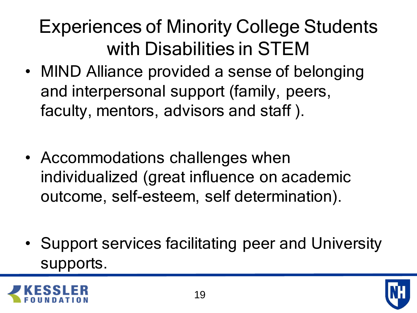# Experiences of Minority College Students with Disabilities in STEM

- MIND Alliance provided a sense of belonging and interpersonal support (family, peers, faculty, mentors, advisors and staff ).
- Accommodations challenges when individualized (great influence on academic outcome, self-esteem, self determination).
- Support services facilitating peer and University supports.

![](_page_18_Picture_4.jpeg)

![](_page_18_Picture_5.jpeg)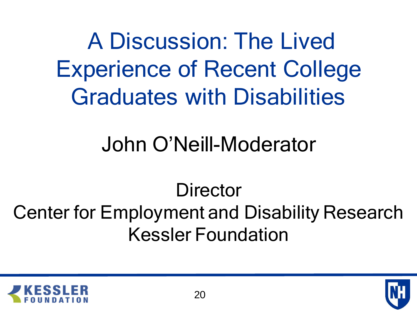A Discussion: The Lived Experience of Recent College Graduates with Disabilities

# John O'Neill-Moderator

# **Director** Center for Employment and Disability Research Kessler Foundation

![](_page_19_Picture_3.jpeg)

![](_page_19_Picture_4.jpeg)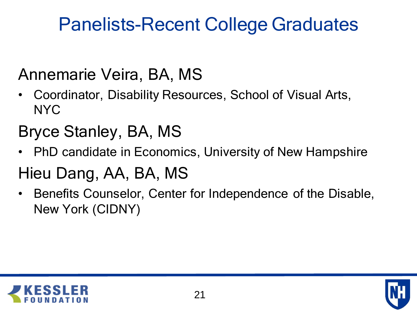### Panelists-Recent College Graduates

#### Annemarie Veira, BA, MS

- Coordinator, Disability Resources, School of Visual Arts, NYC
- Bryce Stanley, BA, MS
- PhD candidate in Economics, University of New Hampshire

#### Hieu Dang, AA, BA, MS

• Benefits Counselor, Center for Independence of the Disable, New York (CIDNY)

![](_page_20_Picture_7.jpeg)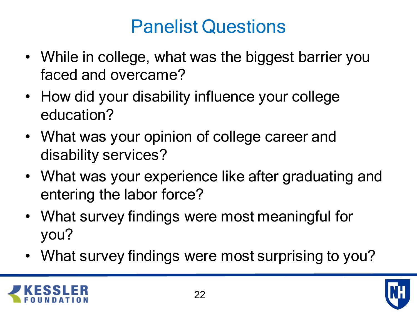### Panelist Questions

- While in college, what was the biggest barrier you faced and overcame?
- How did your disability influence your college education?
- What was your opinion of college career and disability services?
- What was your experience like after graduating and entering the labor force?
- What survey findings were most meaningful for you?
- What survey findings were most surprising to you?

![](_page_21_Picture_7.jpeg)

![](_page_21_Picture_8.jpeg)